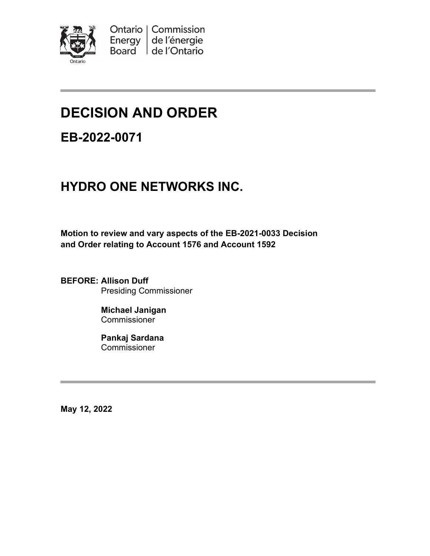

# **DECISION AND ORDER**

**EB-2022-0071**

## **HYDRO ONE NETWORKS INC.**

**Motion to review and vary aspects of the EB-2021-0033 Decision and Order relating to Account 1576 and Account 1592**

**BEFORE: Allison Duff** Presiding Commissioner

> **Michael Janigan Commissioner**

**Pankaj Sardana Commissioner** 

**May 12, 2022**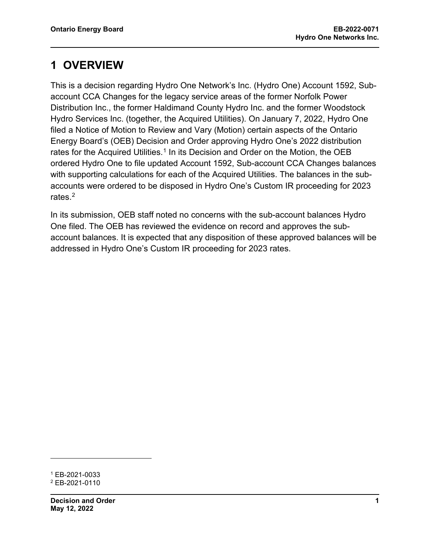### **1 OVERVIEW**

This is a decision regarding Hydro One Network's Inc. (Hydro One) Account 1592, Subaccount CCA Changes for the legacy service areas of the former Norfolk Power Distribution Inc., the former Haldimand County Hydro Inc. and the former Woodstock Hydro Services Inc. (together, the Acquired Utilities). On January 7, 2022, Hydro One filed a Notice of Motion to Review and Vary (Motion) certain aspects of the Ontario Energy Board's (OEB) Decision and Order approving Hydro One's 2022 distribution rates for the Acquired Utilities.<sup>[1](#page-1-0)</sup> In its Decision and Order on the Motion, the OEB ordered Hydro One to file updated Account 1592, Sub-account CCA Changes balances with supporting calculations for each of the Acquired Utilities. The balances in the subaccounts were ordered to be disposed in Hydro One's Custom IR proceeding for 2023 rates.<sup>2</sup>

In its submission, OEB staff noted no concerns with the sub-account balances Hydro One filed. The OEB has reviewed the evidence on record and approves the subaccount balances. It is expected that any disposition of these approved balances will be addressed in Hydro One's Custom IR proceeding for 2023 rates.

<span id="page-1-1"></span><span id="page-1-0"></span><sup>1</sup> EB-2021-0033 <sup>2</sup> EB-2021-0110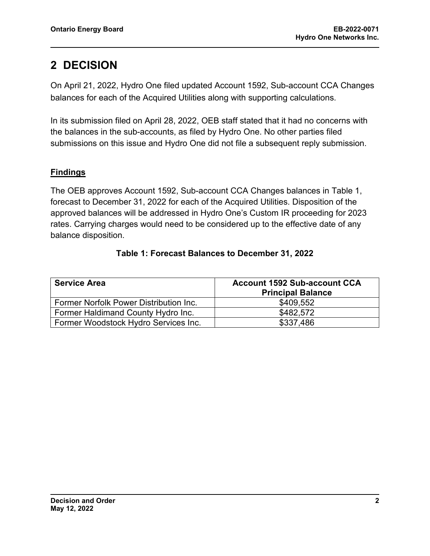### **2 DECISION**

On April 21, 2022, Hydro One filed updated Account 1592, Sub-account CCA Changes balances for each of the Acquired Utilities along with supporting calculations.

In its submission filed on April 28, 2022, OEB staff stated that it had no concerns with the balances in the sub-accounts, as filed by Hydro One. No other parties filed submissions on this issue and Hydro One did not file a subsequent reply submission.

#### **Findings**

The OEB approves Account 1592, Sub-account CCA Changes balances in Table 1, forecast to December 31, 2022 for each of the Acquired Utilities. Disposition of the approved balances will be addressed in Hydro One's Custom IR proceeding for 2023 rates. Carrying charges would need to be considered up to the effective date of any balance disposition.

| <b>Service Area</b>                    | <b>Account 1592 Sub-account CCA</b><br><b>Principal Balance</b> |
|----------------------------------------|-----------------------------------------------------------------|
| Former Norfolk Power Distribution Inc. | \$409,552                                                       |
| Former Haldimand County Hydro Inc.     | \$482,572                                                       |
| Former Woodstock Hydro Services Inc.   | \$337,486                                                       |

#### **Table 1: Forecast Balances to December 31, 2022**